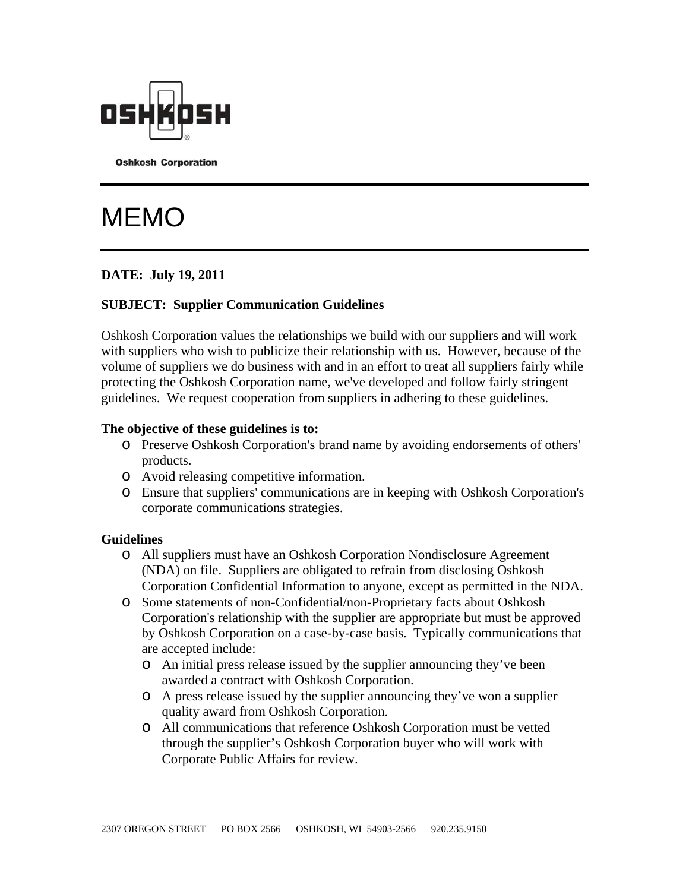

**Oshkosh Corporation** 

# **MEMO**

## **DATE: July 19, 2011**

### **SUBJECT: Supplier Communication Guidelines**

Oshkosh Corporation values the relationships we build with our suppliers and will work with suppliers who wish to publicize their relationship with us. However, because of the volume of suppliers we do business with and in an effort to treat all suppliers fairly while protecting the Oshkosh Corporation name, we've developed and follow fairly stringent guidelines. We request cooperation from suppliers in adhering to these guidelines.

#### **The objective of these guidelines is to:**

- o Preserve Oshkosh Corporation's brand name by avoiding endorsements of others' products.
- o Avoid releasing competitive information.
- o Ensure that suppliers' communications are in keeping with Oshkosh Corporation's corporate communications strategies.

#### **Guidelines**

- o All suppliers must have an Oshkosh Corporation Nondisclosure Agreement (NDA) on file. Suppliers are obligated to refrain from disclosing Oshkosh Corporation Confidential Information to anyone, except as permitted in the NDA.
- o Some statements of non-Confidential/non-Proprietary facts about Oshkosh Corporation's relationship with the supplier are appropriate but must be approved by Oshkosh Corporation on a case-by-case basis. Typically communications that are accepted include:
	- o An initial press release issued by the supplier announcing they've been awarded a contract with Oshkosh Corporation.
	- o A press release issued by the supplier announcing they've won a supplier quality award from Oshkosh Corporation.
	- o All communications that reference Oshkosh Corporation must be vetted through the supplier's Oshkosh Corporation buyer who will work with Corporate Public Affairs for review.